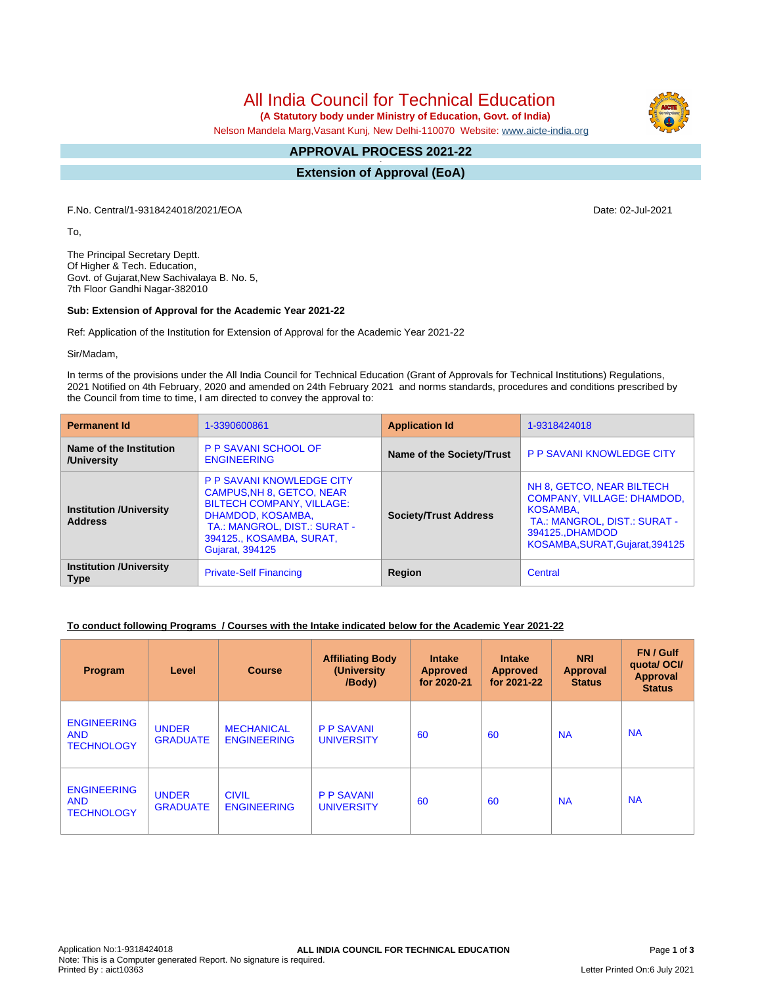All India Council for Technical Education

 **(A Statutory body under Ministry of Education, Govt. of India)**

Nelson Mandela Marg,Vasant Kunj, New Delhi-110070 Website: [www.aicte-india.org](http://www.aicte-india.org)

#### **APPROVAL PROCESS 2021-22 -**

**Extension of Approval (EoA)**

F.No. Central/1-9318424018/2021/EOA Date: 02-Jul-2021

To,

The Principal Secretary Deptt. Of Higher & Tech. Education, Govt. of Gujarat,New Sachivalaya B. No. 5, 7th Floor Gandhi Nagar-382010

## **Sub: Extension of Approval for the Academic Year 2021-22**

Ref: Application of the Institution for Extension of Approval for the Academic Year 2021-22

Sir/Madam,

In terms of the provisions under the All India Council for Technical Education (Grant of Approvals for Technical Institutions) Regulations, 2021 Notified on 4th February, 2020 and amended on 24th February 2021 and norms standards, procedures and conditions prescribed by the Council from time to time, I am directed to convey the approval to:

| <b>Permanent Id</b>                              | 1-3390600861                                                                                                                                                                                                 | <b>Application Id</b>     | 1-9318424018                                                                                                                                                             |  |
|--------------------------------------------------|--------------------------------------------------------------------------------------------------------------------------------------------------------------------------------------------------------------|---------------------------|--------------------------------------------------------------------------------------------------------------------------------------------------------------------------|--|
| Name of the Institution<br>/University           | <b>P P SAVANI SCHOOL OF</b><br><b>ENGINEERING</b>                                                                                                                                                            | Name of the Society/Trust | <b>P P SAVANI KNOWLEDGE CITY</b>                                                                                                                                         |  |
| <b>Institution /University</b><br><b>Address</b> | <b>P P SAVANI KNOWLEDGE CITY</b><br>CAMPUS, NH 8, GETCO, NEAR<br><b>BILTECH COMPANY, VILLAGE:</b><br>DHAMDOD, KOSAMBA,<br>TA.: MANGROL, DIST.: SURAT -<br>394125., KOSAMBA, SURAT,<br><b>Gujarat, 394125</b> |                           | NH 8, GETCO, NEAR BILTECH<br><b>COMPANY, VILLAGE: DHAMDOD,</b><br><b>KOSAMBA.</b><br>TA.: MANGROL, DIST.: SURAT -<br>394125., DHAMDOD<br>KOSAMBA, SURAT, Gujarat, 394125 |  |
| <b>Institution /University</b><br><b>Type</b>    | <b>Private-Self Financing</b>                                                                                                                                                                                | Region                    | Central                                                                                                                                                                  |  |

## **To conduct following Programs / Courses with the Intake indicated below for the Academic Year 2021-22**

| Program                                               | Level                           | <b>Course</b>                           | <b>Affiliating Body</b><br>(University)<br>/Body) | <b>Intake</b><br><b>Approved</b><br>for 2020-21 | <b>Intake</b><br><b>Approved</b><br>for 2021-22 | <b>NRI</b><br><b>Approval</b><br><b>Status</b> | FN / Gulf<br>quotal OCI/<br><b>Approval</b><br><b>Status</b> |
|-------------------------------------------------------|---------------------------------|-----------------------------------------|---------------------------------------------------|-------------------------------------------------|-------------------------------------------------|------------------------------------------------|--------------------------------------------------------------|
| <b>ENGINEERING</b><br><b>AND</b><br><b>TECHNOLOGY</b> | <b>UNDER</b><br><b>GRADUATE</b> | <b>MECHANICAL</b><br><b>ENGINEERING</b> | <b>P P SAVANI</b><br><b>UNIVERSITY</b>            | 60                                              | 60                                              | <b>NA</b>                                      | <b>NA</b>                                                    |
| <b>ENGINEERING</b><br><b>AND</b><br><b>TECHNOLOGY</b> | <b>UNDER</b><br><b>GRADUATE</b> | <b>CIVIL</b><br><b>ENGINEERING</b>      | <b>P P SAVANI</b><br><b>UNIVERSITY</b>            | 60                                              | 60                                              | <b>NA</b>                                      | <b>NA</b>                                                    |

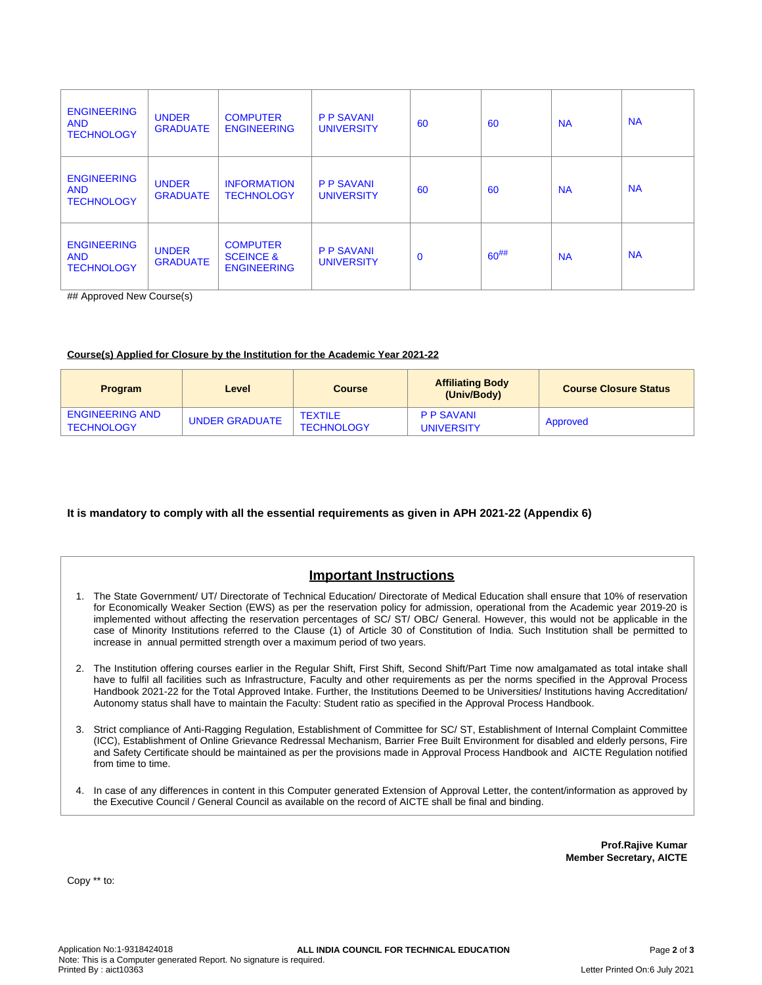| <b>ENGINEERING</b><br><b>AND</b><br><b>TECHNOLOGY</b> | <b>UNDER</b><br><b>GRADUATE</b> | <b>COMPUTER</b><br><b>ENGINEERING</b>                         | <b>P P SAVANI</b><br><b>UNIVERSITY</b> | 60          | 60         | <b>NA</b> | <b>NA</b> |
|-------------------------------------------------------|---------------------------------|---------------------------------------------------------------|----------------------------------------|-------------|------------|-----------|-----------|
| <b>ENGINEERING</b><br><b>AND</b><br><b>TECHNOLOGY</b> | <b>UNDER</b><br><b>GRADUATE</b> | <b>INFORMATION</b><br><b>TECHNOLOGY</b>                       | <b>P P SAVANI</b><br><b>UNIVERSITY</b> | 60          | 60         | <b>NA</b> | <b>NA</b> |
| <b>ENGINEERING</b><br><b>AND</b><br><b>TECHNOLOGY</b> | <b>UNDER</b><br><b>GRADUATE</b> | <b>COMPUTER</b><br><b>SCEINCE &amp;</b><br><b>ENGINEERING</b> | <b>P P SAVANI</b><br><b>UNIVERSITY</b> | $\mathbf 0$ | $60^{#}\%$ | <b>NA</b> | <b>NA</b> |

## Approved New Course(s)

## **Course(s) Applied for Closure by the Institution for the Academic Year 2021-22**

| <b>Program</b>                              | Level          | <b>Course</b>                       | <b>Affiliating Body</b><br>(Univ/Body) | <b>Course Closure Status</b> |
|---------------------------------------------|----------------|-------------------------------------|----------------------------------------|------------------------------|
| <b>ENGINEERING AND</b><br><b>TECHNOLOGY</b> | UNDER GRADUATE | <b>TEXTILE</b><br><b>TECHNOLOGY</b> | <b>PP SAVANI</b><br><b>UNIVERSITY</b>  | Approved                     |

## **It is mandatory to comply with all the essential requirements as given in APH 2021-22 (Appendix 6)**

# **Important Instructions**

- 1. The State Government/ UT/ Directorate of Technical Education/ Directorate of Medical Education shall ensure that 10% of reservation for Economically Weaker Section (EWS) as per the reservation policy for admission, operational from the Academic year 2019-20 is implemented without affecting the reservation percentages of SC/ ST/ OBC/ General. However, this would not be applicable in the case of Minority Institutions referred to the Clause (1) of Article 30 of Constitution of India. Such Institution shall be permitted to increase in annual permitted strength over a maximum period of two years.
- 2. The Institution offering courses earlier in the Regular Shift, First Shift, Second Shift/Part Time now amalgamated as total intake shall have to fulfil all facilities such as Infrastructure, Faculty and other requirements as per the norms specified in the Approval Process Handbook 2021-22 for the Total Approved Intake. Further, the Institutions Deemed to be Universities/ Institutions having Accreditation/ Autonomy status shall have to maintain the Faculty: Student ratio as specified in the Approval Process Handbook.
- 3. Strict compliance of Anti-Ragging Regulation, Establishment of Committee for SC/ ST, Establishment of Internal Complaint Committee (ICC), Establishment of Online Grievance Redressal Mechanism, Barrier Free Built Environment for disabled and elderly persons, Fire and Safety Certificate should be maintained as per the provisions made in Approval Process Handbook and AICTE Regulation notified from time to time.
- 4. In case of any differences in content in this Computer generated Extension of Approval Letter, the content/information as approved by the Executive Council / General Council as available on the record of AICTE shall be final and binding.

**Prof.Rajive Kumar Member Secretary, AICTE**

Copy \*\* to: